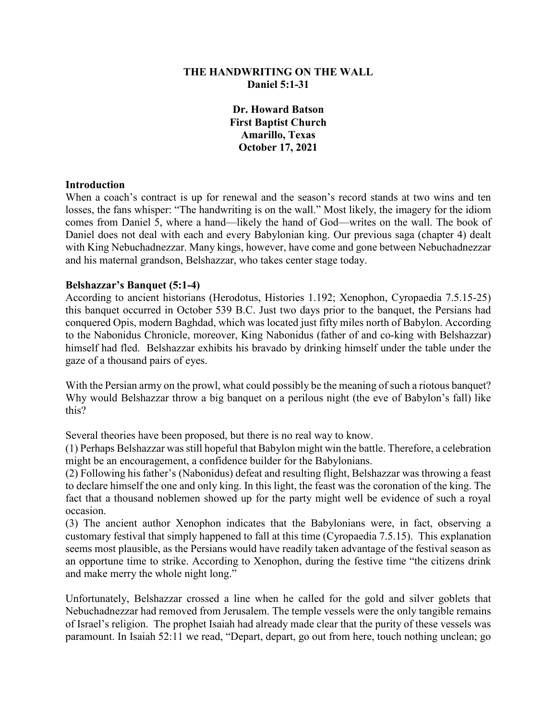# **THE HANDWRITING ON THE WALL Daniel 5:1-31**

**Dr. Howard Batson First Baptist Church Amarillo, Texas October 17, 2021**

#### **Introduction**

When a coach's contract is up for renewal and the season's record stands at two wins and ten losses, the fans whisper: "The handwriting is on the wall." Most likely, the imagery for the idiom comes from Daniel 5, where a hand—likely the hand of God—writes on the wall. The book of Daniel does not deal with each and every Babylonian king. Our previous saga (chapter 4) dealt with King Nebuchadnezzar. Many kings, however, have come and gone between Nebuchadnezzar and his maternal grandson, Belshazzar, who takes center stage today.

#### **Belshazzar's Banquet (5:1-4)**

According to ancient historians (Herodotus, Histories 1.192; Xenophon, Cyropaedia 7.5.15-25) this banquet occurred in October 539 B.C. Just two days prior to the banquet, the Persians had conquered Opis, modern Baghdad, which was located just fifty miles north of Babylon. According to the Nabonidus Chronicle, moreover, King Nabonidus (father of and co-king with Belshazzar) himself had fled. Belshazzar exhibits his bravado by drinking himself under the table under the gaze of a thousand pairs of eyes.

With the Persian army on the prowl, what could possibly be the meaning of such a riotous banquet? Why would Belshazzar throw a big banquet on a perilous night (the eve of Babylon's fall) like this?

Several theories have been proposed, but there is no real way to know.

(1) Perhaps Belshazzar was still hopeful that Babylon might win the battle. Therefore, a celebration might be an encouragement, a confidence builder for the Babylonians.

(2) Following his father's (Nabonidus) defeat and resulting flight, Belshazzar was throwing a feast to declare himself the one and only king. In this light, the feast was the coronation of the king. The fact that a thousand noblemen showed up for the party might well be evidence of such a royal occasion.

(3) The ancient author Xenophon indicates that the Babylonians were, in fact, observing a customary festival that simply happened to fall at this time (Cyropaedia 7.5.15). This explanation seems most plausible, as the Persians would have readily taken advantage of the festival season as an opportune time to strike. According to Xenophon, during the festive time "the citizens drink and make merry the whole night long."

Unfortunately, Belshazzar crossed a line when he called for the gold and silver goblets that Nebuchadnezzar had removed from Jerusalem. The temple vessels were the only tangible remains of Israel's religion. The prophet Isaiah had already made clear that the purity of these vessels was paramount. In Isaiah 52:11 we read, "Depart, depart, go out from here, touch nothing unclean; go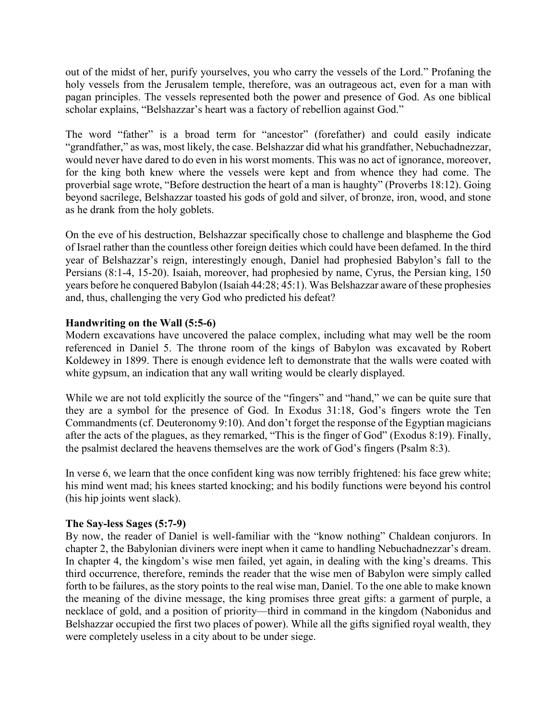out of the midst of her, purify yourselves, you who carry the vessels of the Lord." Profaning the holy vessels from the Jerusalem temple, therefore, was an outrageous act, even for a man with pagan principles. The vessels represented both the power and presence of God. As one biblical scholar explains, "Belshazzar's heart was a factory of rebellion against God."

The word "father" is a broad term for "ancestor" (forefather) and could easily indicate "grandfather," as was, most likely, the case. Belshazzar did what his grandfather, Nebuchadnezzar, would never have dared to do even in his worst moments. This was no act of ignorance, moreover, for the king both knew where the vessels were kept and from whence they had come. The proverbial sage wrote, "Before destruction the heart of a man is haughty" (Proverbs 18:12). Going beyond sacrilege, Belshazzar toasted his gods of gold and silver, of bronze, iron, wood, and stone as he drank from the holy goblets.

On the eve of his destruction, Belshazzar specifically chose to challenge and blaspheme the God of Israel rather than the countless other foreign deities which could have been defamed. In the third year of Belshazzar's reign, interestingly enough, Daniel had prophesied Babylon's fall to the Persians (8:1-4, 15-20). Isaiah, moreover, had prophesied by name, Cyrus, the Persian king, 150 years before he conquered Babylon (Isaiah 44:28; 45:1). Was Belshazzar aware of these prophesies and, thus, challenging the very God who predicted his defeat?

# **Handwriting on the Wall (5:5-6)**

Modern excavations have uncovered the palace complex, including what may well be the room referenced in Daniel 5. The throne room of the kings of Babylon was excavated by Robert Koldewey in 1899. There is enough evidence left to demonstrate that the walls were coated with white gypsum, an indication that any wall writing would be clearly displayed.

While we are not told explicitly the source of the "fingers" and "hand," we can be quite sure that they are a symbol for the presence of God. In Exodus 31:18, God's fingers wrote the Ten Commandments (cf. Deuteronomy 9:10). And don't forget the response of the Egyptian magicians after the acts of the plagues, as they remarked, "This is the finger of God" (Exodus 8:19). Finally, the psalmist declared the heavens themselves are the work of God's fingers (Psalm 8:3).

In verse 6, we learn that the once confident king was now terribly frightened: his face grew white; his mind went mad; his knees started knocking; and his bodily functions were beyond his control (his hip joints went slack).

# **The Say-less Sages (5:7-9)**

By now, the reader of Daniel is well-familiar with the "know nothing" Chaldean conjurors. In chapter 2, the Babylonian diviners were inept when it came to handling Nebuchadnezzar's dream. In chapter 4, the kingdom's wise men failed, yet again, in dealing with the king's dreams. This third occurrence, therefore, reminds the reader that the wise men of Babylon were simply called forth to be failures, as the story points to the real wise man, Daniel. To the one able to make known the meaning of the divine message, the king promises three great gifts: a garment of purple, a necklace of gold, and a position of priority—third in command in the kingdom (Nabonidus and Belshazzar occupied the first two places of power). While all the gifts signified royal wealth, they were completely useless in a city about to be under siege.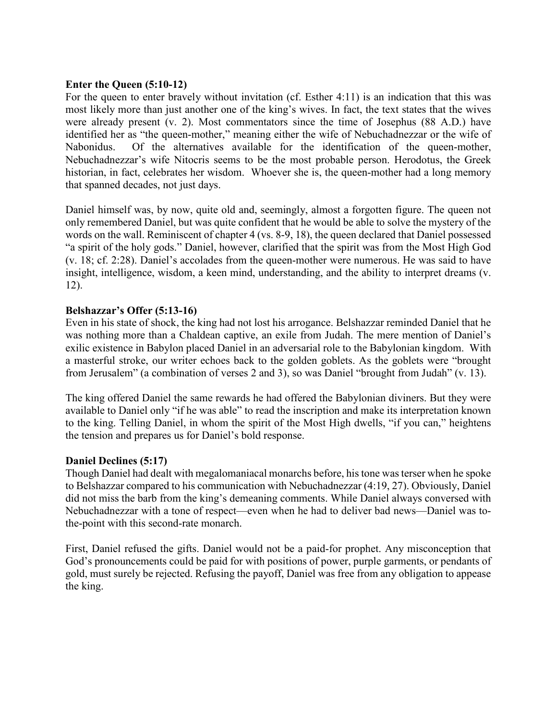## **Enter the Queen (5:10-12)**

For the queen to enter bravely without invitation (cf. Esther 4:11) is an indication that this was most likely more than just another one of the king's wives. In fact, the text states that the wives were already present (v. 2). Most commentators since the time of Josephus (88 A.D.) have identified her as "the queen-mother," meaning either the wife of Nebuchadnezzar or the wife of Nabonidus. Of the alternatives available for the identification of the queen-mother, Nebuchadnezzar's wife Nitocris seems to be the most probable person. Herodotus, the Greek historian, in fact, celebrates her wisdom. Whoever she is, the queen-mother had a long memory that spanned decades, not just days.

Daniel himself was, by now, quite old and, seemingly, almost a forgotten figure. The queen not only remembered Daniel, but was quite confident that he would be able to solve the mystery of the words on the wall. Reminiscent of chapter 4 (vs. 8-9, 18), the queen declared that Daniel possessed "a spirit of the holy gods." Daniel, however, clarified that the spirit was from the Most High God (v. 18; cf. 2:28). Daniel's accolades from the queen-mother were numerous. He was said to have insight, intelligence, wisdom, a keen mind, understanding, and the ability to interpret dreams (v. 12).

# **Belshazzar's Offer (5:13-16)**

Even in his state of shock, the king had not lost his arrogance. Belshazzar reminded Daniel that he was nothing more than a Chaldean captive, an exile from Judah. The mere mention of Daniel's exilic existence in Babylon placed Daniel in an adversarial role to the Babylonian kingdom. With a masterful stroke, our writer echoes back to the golden goblets. As the goblets were "brought from Jerusalem" (a combination of verses 2 and 3), so was Daniel "brought from Judah" (v. 13).

The king offered Daniel the same rewards he had offered the Babylonian diviners. But they were available to Daniel only "if he was able" to read the inscription and make its interpretation known to the king. Telling Daniel, in whom the spirit of the Most High dwells, "if you can," heightens the tension and prepares us for Daniel's bold response.

# **Daniel Declines (5:17)**

Though Daniel had dealt with megalomaniacal monarchs before, his tone was terser when he spoke to Belshazzar compared to his communication with Nebuchadnezzar (4:19, 27). Obviously, Daniel did not miss the barb from the king's demeaning comments. While Daniel always conversed with Nebuchadnezzar with a tone of respect—even when he had to deliver bad news—Daniel was tothe-point with this second-rate monarch.

First, Daniel refused the gifts. Daniel would not be a paid-for prophet. Any misconception that God's pronouncements could be paid for with positions of power, purple garments, or pendants of gold, must surely be rejected. Refusing the payoff, Daniel was free from any obligation to appease the king.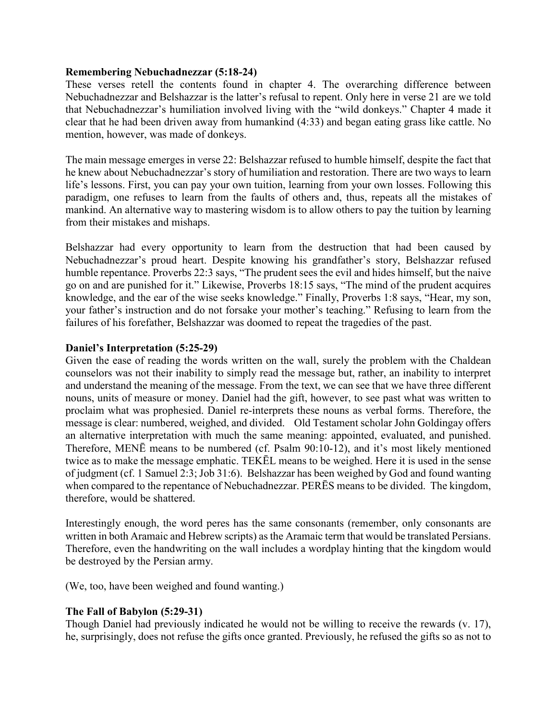### **Remembering Nebuchadnezzar (5:18-24)**

These verses retell the contents found in chapter 4. The overarching difference between Nebuchadnezzar and Belshazzar is the latter's refusal to repent. Only here in verse 21 are we told that Nebuchadnezzar's humiliation involved living with the "wild donkeys." Chapter 4 made it clear that he had been driven away from humankind (4:33) and began eating grass like cattle. No mention, however, was made of donkeys.

The main message emerges in verse 22: Belshazzar refused to humble himself, despite the fact that he knew about Nebuchadnezzar's story of humiliation and restoration. There are two ways to learn life's lessons. First, you can pay your own tuition, learning from your own losses. Following this paradigm, one refuses to learn from the faults of others and, thus, repeats all the mistakes of mankind. An alternative way to mastering wisdom is to allow others to pay the tuition by learning from their mistakes and mishaps.

Belshazzar had every opportunity to learn from the destruction that had been caused by Nebuchadnezzar's proud heart. Despite knowing his grandfather's story, Belshazzar refused humble repentance. Proverbs 22:3 says, "The prudent sees the evil and hides himself, but the naive go on and are punished for it." Likewise, Proverbs 18:15 says, "The mind of the prudent acquires knowledge, and the ear of the wise seeks knowledge." Finally, Proverbs 1:8 says, "Hear, my son, your father's instruction and do not forsake your mother's teaching." Refusing to learn from the failures of his forefather, Belshazzar was doomed to repeat the tragedies of the past.

## **Daniel's Interpretation (5:25-29)**

Given the ease of reading the words written on the wall, surely the problem with the Chaldean counselors was not their inability to simply read the message but, rather, an inability to interpret and understand the meaning of the message. From the text, we can see that we have three different nouns, units of measure or money. Daniel had the gift, however, to see past what was written to proclaim what was prophesied. Daniel re-interprets these nouns as verbal forms. Therefore, the message is clear: numbered, weighed, and divided. Old Testament scholar John Goldingay offers an alternative interpretation with much the same meaning: appointed, evaluated, and punished. Therefore, MENĒ means to be numbered (cf. Psalm 90:10-12), and it's most likely mentioned twice as to make the message emphatic. TEKĒL means to be weighed. Here it is used in the sense of judgment (cf. 1 Samuel 2:3; Job 31:6). Belshazzar has been weighed by God and found wanting when compared to the repentance of Nebuchadnezzar. PERĒS means to be divided. The kingdom, therefore, would be shattered.

Interestingly enough, the word peres has the same consonants (remember, only consonants are written in both Aramaic and Hebrew scripts) as the Aramaic term that would be translated Persians. Therefore, even the handwriting on the wall includes a wordplay hinting that the kingdom would be destroyed by the Persian army.

(We, too, have been weighed and found wanting.)

## **The Fall of Babylon (5:29-31)**

Though Daniel had previously indicated he would not be willing to receive the rewards (v. 17), he, surprisingly, does not refuse the gifts once granted. Previously, he refused the gifts so as not to